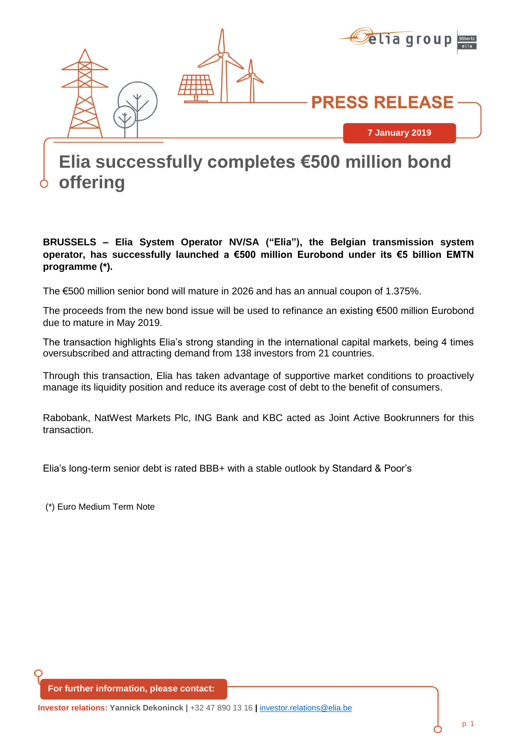

# **2018 Elia successfully completes €500 million bond offering**

#### **BRUSSELS – Elia System Operator NV/SA ("Elia"), the Belgian transmission system operator, has successfully launched a €500 million Eurobond under its €5 billion EMTN programme (\*).**

The €500 million senior bond will mature in 2026 and has an annual coupon of 1.375%.

The proceeds from the new bond issue will be used to refinance an existing €500 million Eurobond due to mature in May 2019.

The transaction highlights Elia's strong standing in the international capital markets, being 4 times oversubscribed and attracting demand from 138 investors from 21 countries.

Through this transaction, Elia has taken advantage of supportive market conditions to proactively manage its liquidity position and reduce its average cost of debt to the benefit of consumers.

Rabobank, NatWest Markets Plc, ING Bank and KBC acted as Joint Active Bookrunners for this transaction.

Elia's long-term senior debt is rated BBB+ with a stable outlook by Standard & Poor's

(\*) Euro Medium Term Note